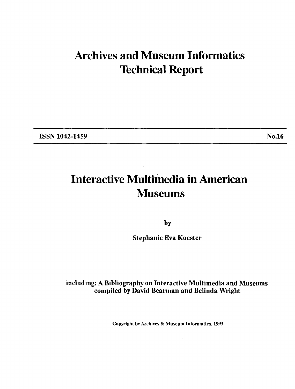# **Archives and Museum Informatics Technical Report**

**ISSN 1042-1459** No.16

# **Interactive Multimedia in American Museums**

**by** 

**Stephanie Eva Koester** 

### **including: A Bibliography on Interactive Multimedia and Museums compiled by David Bearman and Belinda Wright**

**Copyright by Archives** & **Museum Informatics, 1993**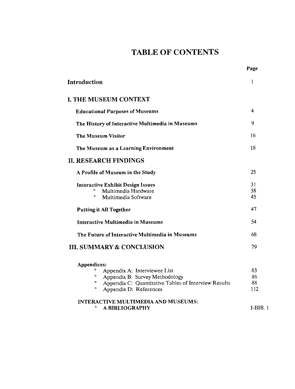## TABLE OF CONTENTS

Page

| <b>Introduction</b>                                                                                                                                                        | $\mathbf{1}$          |
|----------------------------------------------------------------------------------------------------------------------------------------------------------------------------|-----------------------|
| <b>I. THE MUSEUM CONTEXT</b>                                                                                                                                               |                       |
| <b>Educational Purposes of Museums</b>                                                                                                                                     | 4                     |
| The History of Interactive Multimedia in Museums                                                                                                                           | 9                     |
| <b>The Museum Visitor</b>                                                                                                                                                  | 16                    |
| The Museum as a Learning Environment                                                                                                                                       | 18                    |
| <b>II. RESEARCH FINDINGS</b>                                                                                                                                               |                       |
| A Profile of Museum in the Study                                                                                                                                           | 25                    |
| <b>Interactive Exhibit Design Issues</b><br>Multimedia Hardware<br>$\circ$<br>Multimedia Software                                                                          | 31<br>38<br>45        |
| <b>Putting it All Together</b>                                                                                                                                             | 47                    |
| <b>Interactive Multimedia in Museums</b>                                                                                                                                   | 54                    |
| The Future of Interactive Multimedia in Museums                                                                                                                            | 68                    |
| <b>III. SUMMARY &amp; CONCLUSION</b>                                                                                                                                       | 79                    |
| Appendices:                                                                                                                                                                |                       |
| Appendix A: Interviewee List<br>$\mathbf{o}$<br>Appendix B: Survey Methodology<br>۰<br>Appendix C: Quantitative Tables of Interview Results<br>o<br>Appendix D: References | 83<br>86<br>88<br>112 |
| <b>INTERACTIVE MULTIMEDIA AND MUSEUMS:</b><br>$\mathbf{o}$<br>A BIBLIOGRAPHY                                                                                               | $I-BIB.1$             |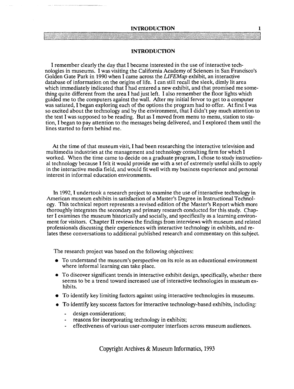#### **INTRODUCTION** 1

### **INTRODUCTION**

I remember clearly the day that I became interested in the use of interactive technologies in museums. I was visiting the California Academy of Sciences in San Francisco's Golden Gate Park in 1990 when I came across the *LIFEMap* exhibit, an interactive database of information on the origins of life. I can still recall the sleek, dimly lit area which immediately indicated that  $\tilde{I}$  had entered a new exhibit, and that promised me something quite different from the area I had just left. I also remember the floor lights which guided me to the computers against the wall. After my initial fervor to get to a computer was satiated, I began exploring each of the options the program had to offer. At first I was so excited about the technology and by the environment, that I didn't pay much attention to the text I was supposed to be reading. But as I moved from menu to menu, station to station, I began to pay attention to the messages being delivered, and I explored them until the lines started to form behind me.

At the time of that museum visit, I had been researching the interactive television and multimedia industries at the management and technology consulting firm for which I worked. When the time came to decide on a graduate program, I chose to study instructional technology because I felt it would provide me with a set of extremely useful skills to apply in the interactive media field, and would fit well with my business experience and personal interest in informal education environments.

In 1992, I undertook a research project to examine the use of interactive technology in American museum exhibits in satisfaction of a Master's Degree in Instructional Technology. This technical report represents a revised edition of the Master's Report which more thoroughly integrates the secondary and primary research conducted for this study. Chapter I examines the museum historically and socially, and specifically as a learning environment for visitors. Chapter I1 reviews the findings from interviews with museum and related professionals discussing their experiences with interactive technology in exhibits, and relates these conversations to additional published research and commentary on this subject.

The research project was based on the following objectives:

- To understand the museum's perspective on its role as an educational environment where informal learning can take place.
- To discover significant trends in interactive exhibit design, specifically, whether there seems to be a trend toward increased use of interactive technologies in museum exhibits.
- To identify key limiting factors against using interactive technologies in museums.
- To identify key success factors for interactive technology-based exhibits, including:
	- design considerations;
	- reasons for incorporating technology in exhibits;
	- effectiveness of various user-computer interfaces across museum audiences.

Copyright Archives & Museum Informatics, 1993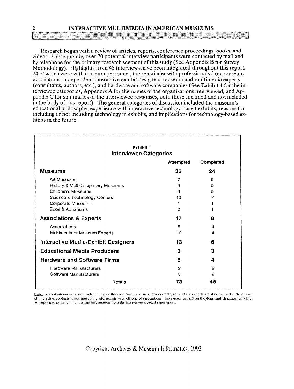### **2 INTERACTIVE MULTIMEDIA IN AMERICAN MUSEUMS**

Research began with a review of articles, reports, conference proceedings, books, and videos. Subsequently, over 70 potential interview participants were contacted by mail and by telephone for the primary research segment of this study (See Appendix **B** for Survey Methodology). Highlights from 45 interviews have been integrated throughout this report, 24 of which were with museum personnel, the remainder with professionals from museum associations, independent interactive exhibit designers, museum and multimedia experts (consultants, authors, etc.), and hardware and software companies (See Exhibit 1 for the interviewee categories, Appendix A for the names of the organizations interviewed, and Appendix C for summaries of the interviewee responses, both those included and not included in the body of this report). The general categories of discussion included the museum's educational philosophy, experience with interactive technology-based exhibits, reasons for including or not including technology in exhibits, and implications for technology-based exhibits in the future.

| Exhibit 1<br><b>Interviewee Categories</b> |                  |              |  |
|--------------------------------------------|------------------|--------------|--|
|                                            | <b>Attempted</b> | Completed    |  |
| <b>Museums</b>                             | 35               | 24           |  |
| <b>Art Museums</b>                         | 7                | 5            |  |
| History & Multidisciplinary Museums        | 9                | 5            |  |
| <b>Children's Museums</b>                  | 6                | 5            |  |
| Science & Technology Centers               | 10               | 7            |  |
| Corporate Museums                          | 1                |              |  |
| Zoos & Aquariums                           | $\mathbf{2}$     | 1            |  |
| <b>Associations &amp; Experts</b>          | 17               | 8            |  |
| Associations                               | 5                | 4            |  |
| Multimedia or Museum Experts               | 12               | 4            |  |
| Interactive Media/Exhibit Designers        | 13               | 6            |  |
| <b>Educational Media Producers</b>         | 3                | з            |  |
| <b>Hardware and Software Firms</b>         | 5                | 4            |  |
| Hardware Manufacturers                     | $\overline{2}$   | 2            |  |
| Software Manufacturers                     | 3                | $\mathbf{2}$ |  |
| <b>Totals</b>                              | 73               | 45           |  |

POLATS<br>Note: Several interviewees are involved in more than one functional area. For example, some of the experts are also involved in the design<br>of interactive products; some museum professionals were officers of associat attempting to gather all the relevant information from the interviewee's broad experiences.

Copyright Archives & Museum Informatics, 1993